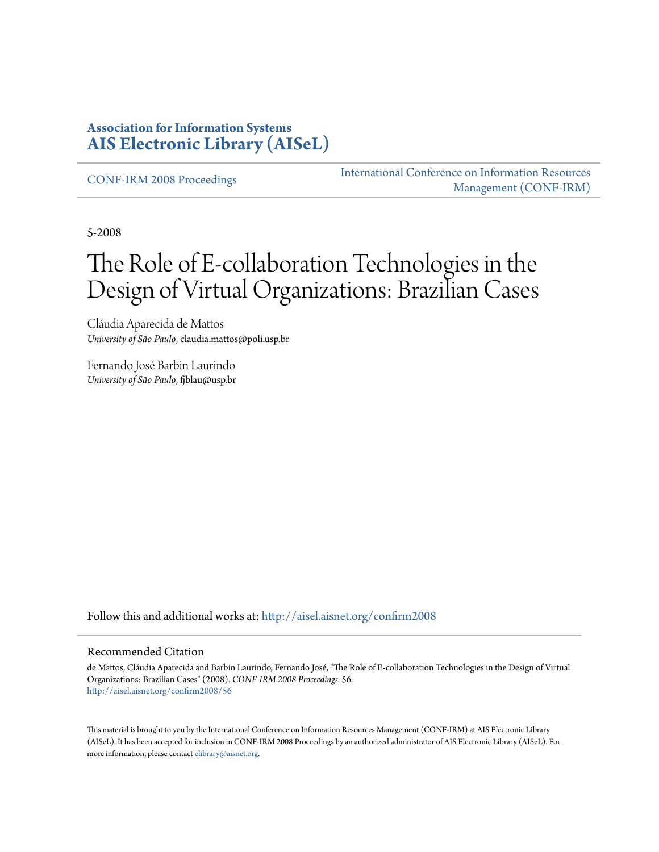## **Association for Information Systems [AIS Electronic Library \(AISeL\)](http://aisel.aisnet.org?utm_source=aisel.aisnet.org%2Fconfirm2008%2F56&utm_medium=PDF&utm_campaign=PDFCoverPages)**

[CONF-IRM 2008 Proceedings](http://aisel.aisnet.org/confirm2008?utm_source=aisel.aisnet.org%2Fconfirm2008%2F56&utm_medium=PDF&utm_campaign=PDFCoverPages)

[International Conference on Information Resources](http://aisel.aisnet.org/conf-irm?utm_source=aisel.aisnet.org%2Fconfirm2008%2F56&utm_medium=PDF&utm_campaign=PDFCoverPages) [Management \(CONF-IRM\)](http://aisel.aisnet.org/conf-irm?utm_source=aisel.aisnet.org%2Fconfirm2008%2F56&utm_medium=PDF&utm_campaign=PDFCoverPages)

5-2008

# The Role of E-collaboration Technologies in the Design of Virtual Organizations: Brazilian Cases

Cláudia Aparecida de Mattos *University of São Paulo*, claudia.mattos@poli.usp.br

Fernando José Barbin Laurindo *University of São Paulo*, fjblau@usp.br

Follow this and additional works at: [http://aisel.aisnet.org/confirm2008](http://aisel.aisnet.org/confirm2008?utm_source=aisel.aisnet.org%2Fconfirm2008%2F56&utm_medium=PDF&utm_campaign=PDFCoverPages)

#### Recommended Citation

de Mattos, Cláudia Aparecida and Barbin Laurindo, Fernando José, "The Role of E-collaboration Technologies in the Design of Virtual Organizations: Brazilian Cases" (2008). *CONF-IRM 2008 Proceedings*. 56. [http://aisel.aisnet.org/confirm2008/56](http://aisel.aisnet.org/confirm2008/56?utm_source=aisel.aisnet.org%2Fconfirm2008%2F56&utm_medium=PDF&utm_campaign=PDFCoverPages)

This material is brought to you by the International Conference on Information Resources Management (CONF-IRM) at AIS Electronic Library (AISeL). It has been accepted for inclusion in CONF-IRM 2008 Proceedings by an authorized administrator of AIS Electronic Library (AISeL). For more information, please contact [elibrary@aisnet.org.](mailto:elibrary@aisnet.org%3E)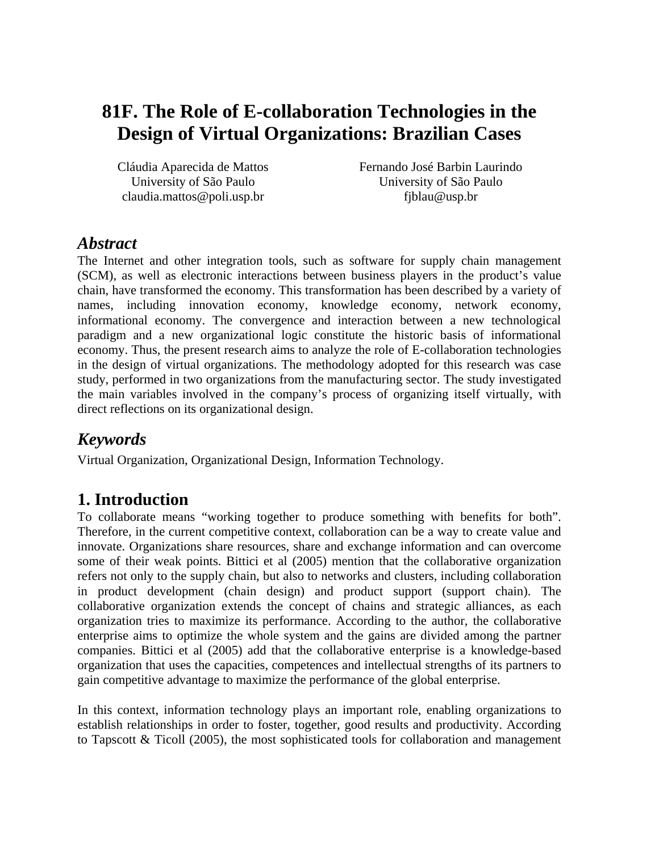# **81F. The Role of E-collaboration Technologies in the Design of Virtual Organizations: Brazilian Cases**

Cláudia Aparecida de Mattos University of São Paulo claudia.mattos@poli.usp.br

Fernando José Barbin Laurindo University of São Paulo fjblau@usp.br

# *Abstract*

The Internet and other integration tools, such as software for supply chain management (SCM), as well as electronic interactions between business players in the product's value chain, have transformed the economy. This transformation has been described by a variety of names, including innovation economy, knowledge economy, network economy, informational economy. The convergence and interaction between a new technological paradigm and a new organizational logic constitute the historic basis of informational economy. Thus, the present research aims to analyze the role of E-collaboration technologies in the design of virtual organizations. The methodology adopted for this research was case study, performed in two organizations from the manufacturing sector. The study investigated the main variables involved in the company's process of organizing itself virtually, with direct reflections on its organizational design.

# *Keywords*

Virtual Organization, Organizational Design, Information Technology.

# **1. Introduction**

To collaborate means "working together to produce something with benefits for both". Therefore, in the current competitive context, collaboration can be a way to create value and innovate. Organizations share resources, share and exchange information and can overcome some of their weak points. Bittici et al (2005) mention that the collaborative organization refers not only to the supply chain, but also to networks and clusters, including collaboration in product development (chain design) and product support (support chain). The collaborative organization extends the concept of chains and strategic alliances, as each organization tries to maximize its performance. According to the author, the collaborative enterprise aims to optimize the whole system and the gains are divided among the partner companies. Bittici et al (2005) add that the collaborative enterprise is a knowledge-based organization that uses the capacities, competences and intellectual strengths of its partners to gain competitive advantage to maximize the performance of the global enterprise.

In this context, information technology plays an important role, enabling organizations to establish relationships in order to foster, together, good results and productivity. According to Tapscott & Ticoll (2005), the most sophisticated tools for collaboration and management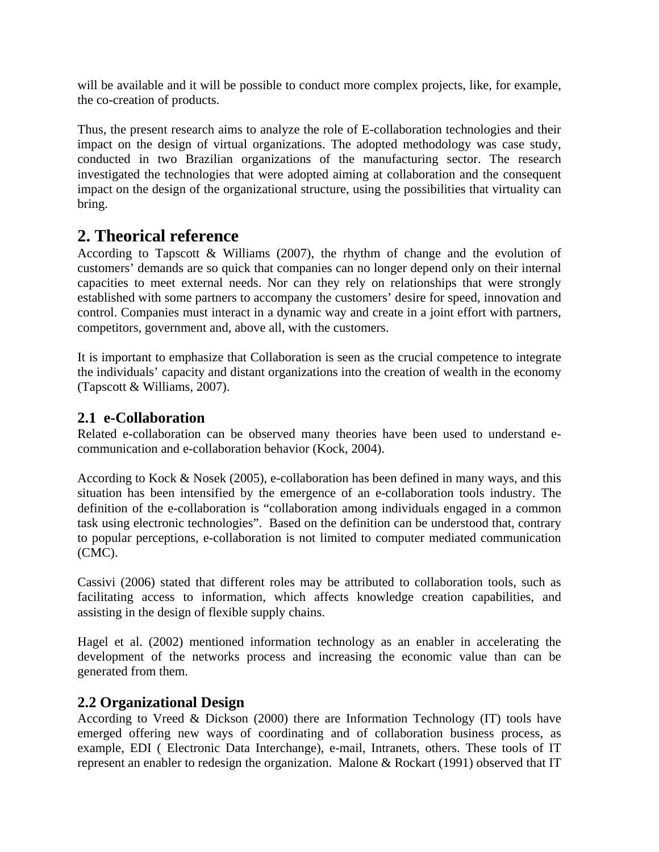will be available and it will be possible to conduct more complex projects, like, for example, the co-creation of products.

Thus, the present research aims to analyze the role of E-collaboration technologies and their impact on the design of virtual organizations. The adopted methodology was case study, conducted in two Brazilian organizations of the manufacturing sector. The research investigated the technologies that were adopted aiming at collaboration and the consequent impact on the design of the organizational structure, using the possibilities that virtuality can bring.

# **2. Theorical reference**

According to Tapscott & Williams (2007), the rhythm of change and the evolution of customers' demands are so quick that companies can no longer depend only on their internal capacities to meet external needs. Nor can they rely on relationships that were strongly established with some partners to accompany the customers' desire for speed, innovation and control. Companies must interact in a dynamic way and create in a joint effort with partners, competitors, government and, above all, with the customers.

It is important to emphasize that Collaboration is seen as the crucial competence to integrate the individuals' capacity and distant organizations into the creation of wealth in the economy (Tapscott & Williams, 2007).

### **2.1 e-Collaboration**

Related e-collaboration can be observed many theories have been used to understand ecommunication and e-collaboration behavior (Kock, 2004).

According to Kock & Nosek (2005), e-collaboration has been defined in many ways, and this situation has been intensified by the emergence of an e-collaboration tools industry. The definition of the e-collaboration is "collaboration among individuals engaged in a common task using electronic technologies". Based on the definition can be understood that, contrary to popular perceptions, e-collaboration is not limited to computer mediated communication (CMC).

Cassivi (2006) stated that different roles may be attributed to collaboration tools, such as facilitating access to information, which affects knowledge creation capabilities, and assisting in the design of flexible supply chains.

Hagel et al. (2002) mentioned information technology as an enabler in accelerating the development of the networks process and increasing the economic value than can be generated from them.

### **2.2 Organizational Design**

According to Vreed & Dickson (2000) there are Information Technology (IT) tools have emerged offering new ways of coordinating and of collaboration business process, as example, EDI ( Electronic Data Interchange), e-mail, Intranets, others. These tools of IT represent an enabler to redesign the organization. Malone & Rockart (1991) observed that IT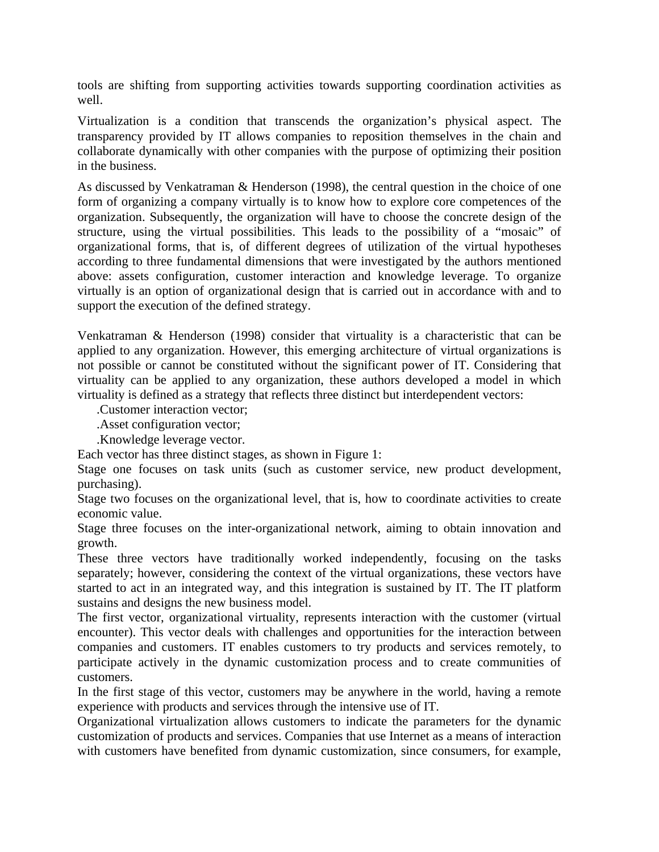tools are shifting from supporting activities towards supporting coordination activities as well.

Virtualization is a condition that transcends the organization's physical aspect. The transparency provided by IT allows companies to reposition themselves in the chain and collaborate dynamically with other companies with the purpose of optimizing their position in the business.

As discussed by Venkatraman & Henderson (1998), the central question in the choice of one form of organizing a company virtually is to know how to explore core competences of the organization. Subsequently, the organization will have to choose the concrete design of the structure, using the virtual possibilities. This leads to the possibility of a "mosaic" of organizational forms, that is, of different degrees of utilization of the virtual hypotheses according to three fundamental dimensions that were investigated by the authors mentioned above: assets configuration, customer interaction and knowledge leverage. To organize virtually is an option of organizational design that is carried out in accordance with and to support the execution of the defined strategy.

Venkatraman & Henderson (1998) consider that virtuality is a characteristic that can be applied to any organization. However, this emerging architecture of virtual organizations is not possible or cannot be constituted without the significant power of IT. Considering that virtuality can be applied to any organization, these authors developed a model in which virtuality is defined as a strategy that reflects three distinct but interdependent vectors:

.Customer interaction vector;

.Asset configuration vector;

.Knowledge leverage vector.

Each vector has three distinct stages, as shown in Figure 1:

Stage one focuses on task units (such as customer service, new product development, purchasing).

Stage two focuses on the organizational level, that is, how to coordinate activities to create economic value.

Stage three focuses on the inter-organizational network, aiming to obtain innovation and growth.

These three vectors have traditionally worked independently, focusing on the tasks separately; however, considering the context of the virtual organizations, these vectors have started to act in an integrated way, and this integration is sustained by IT. The IT platform sustains and designs the new business model.

The first vector, organizational virtuality, represents interaction with the customer (virtual encounter). This vector deals with challenges and opportunities for the interaction between companies and customers. IT enables customers to try products and services remotely, to participate actively in the dynamic customization process and to create communities of customers.

In the first stage of this vector, customers may be anywhere in the world, having a remote experience with products and services through the intensive use of IT.

Organizational virtualization allows customers to indicate the parameters for the dynamic customization of products and services. Companies that use Internet as a means of interaction with customers have benefited from dynamic customization, since consumers, for example,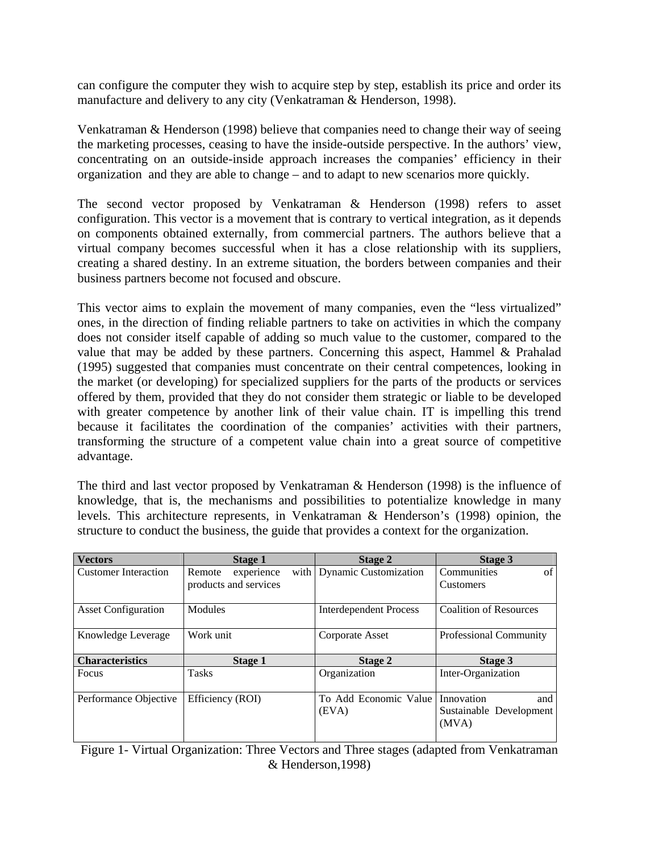can configure the computer they wish to acquire step by step, establish its price and order its manufacture and delivery to any city (Venkatraman & Henderson, 1998).

Venkatraman & Henderson (1998) believe that companies need to change their way of seeing the marketing processes, ceasing to have the inside-outside perspective. In the authors' view, concentrating on an outside-inside approach increases the companies' efficiency in their organization and they are able to change – and to adapt to new scenarios more quickly.

The second vector proposed by Venkatraman & Henderson (1998) refers to asset configuration. This vector is a movement that is contrary to vertical integration, as it depends on components obtained externally, from commercial partners. The authors believe that a virtual company becomes successful when it has a close relationship with its suppliers, creating a shared destiny. In an extreme situation, the borders between companies and their business partners become not focused and obscure.

This vector aims to explain the movement of many companies, even the "less virtualized" ones, in the direction of finding reliable partners to take on activities in which the company does not consider itself capable of adding so much value to the customer, compared to the value that may be added by these partners. Concerning this aspect, Hammel & Prahalad (1995) suggested that companies must concentrate on their central competences, looking in the market (or developing) for specialized suppliers for the parts of the products or services offered by them, provided that they do not consider them strategic or liable to be developed with greater competence by another link of their value chain. IT is impelling this trend because it facilitates the coordination of the companies' activities with their partners, transforming the structure of a competent value chain into a great source of competitive advantage.

The third and last vector proposed by Venkatraman & Henderson (1998) is the influence of knowledge, that is, the mechanisms and possibilities to potentialize knowledge in many levels. This architecture represents, in Venkatraman & Henderson's (1998) opinion, the structure to conduct the business, the guide that provides a context for the organization.

| <b>Vectors</b>              | Stage 1               | Stage 2                        | Stage 3                                               |
|-----------------------------|-----------------------|--------------------------------|-------------------------------------------------------|
| <b>Customer Interaction</b> | Remote<br>experience  | with   Dynamic Customization   | of<br>Communities                                     |
|                             | products and services |                                | <b>Customers</b>                                      |
| <b>Asset Configuration</b>  | Modules               | <b>Interdependent Process</b>  | <b>Coalition of Resources</b>                         |
| Knowledge Leverage          | Work unit             | Corporate Asset                | Professional Community                                |
|                             |                       |                                |                                                       |
| <b>Characteristics</b>      | Stage 1               | Stage 2                        | Stage 3                                               |
| Focus                       | <b>Tasks</b>          | Organization                   | Inter-Organization                                    |
| Performance Objective       | Efficiency (ROI)      | To Add Economic Value<br>(EVA) | Innovation<br>and<br>Sustainable Development<br>(MVA) |

Figure 1- Virtual Organization: Three Vectors and Three stages (adapted from Venkatraman & Henderson,1998)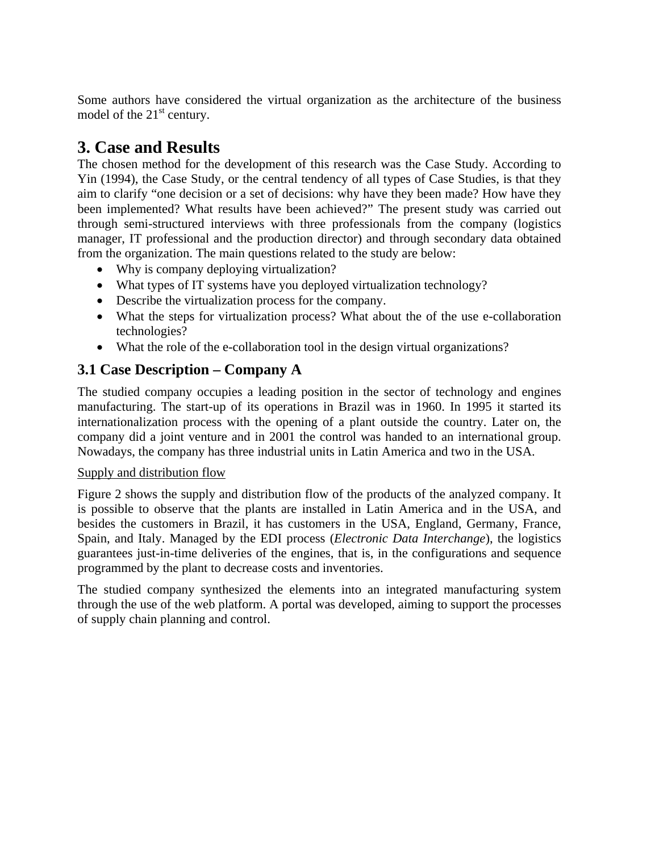Some authors have considered the virtual organization as the architecture of the business model of the  $21<sup>st</sup>$  century.

# **3. Case and Results**

The chosen method for the development of this research was the Case Study. According to Yin (1994), the Case Study, or the central tendency of all types of Case Studies, is that they aim to clarify "one decision or a set of decisions: why have they been made? How have they been implemented? What results have been achieved?" The present study was carried out through semi-structured interviews with three professionals from the company (logistics manager, IT professional and the production director) and through secondary data obtained from the organization. The main questions related to the study are below:

- Why is company deploying virtualization?
- What types of IT systems have you deployed virtualization technology?
- Describe the virtualization process for the company.
- What the steps for virtualization process? What about the of the use e-collaboration technologies?
- What the role of the e-collaboration tool in the design virtual organizations?

# **3.1 Case Description – Company A**

The studied company occupies a leading position in the sector of technology and engines manufacturing. The start-up of its operations in Brazil was in 1960. In 1995 it started its internationalization process with the opening of a plant outside the country. Later on, the company did a joint venture and in 2001 the control was handed to an international group. Nowadays, the company has three industrial units in Latin America and two in the USA.

### Supply and distribution flow

Figure 2 shows the supply and distribution flow of the products of the analyzed company. It is possible to observe that the plants are installed in Latin America and in the USA, and besides the customers in Brazil, it has customers in the USA, England, Germany, France, Spain, and Italy. Managed by the EDI process (*Electronic Data Interchange*), the logistics guarantees just-in-time deliveries of the engines, that is, in the configurations and sequence programmed by the plant to decrease costs and inventories.

The studied company synthesized the elements into an integrated manufacturing system through the use of the web platform. A portal was developed, aiming to support the processes of supply chain planning and control.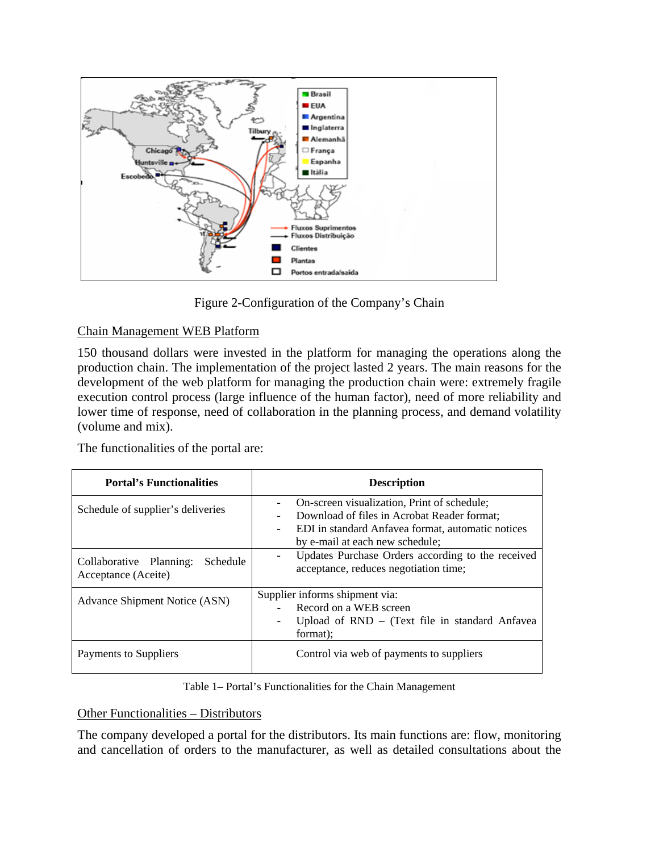

Figure 2-Configuration of the Company's Chain

#### Chain Management WEB Platform

150 thousand dollars were invested in the platform for managing the operations along the production chain. The implementation of the project lasted 2 years. The main reasons for the development of the web platform for managing the production chain were: extremely fragile execution control process (large influence of the human factor), need of more reliability and lower time of response, need of collaboration in the planning process, and demand volatility (volume and mix).

The functionalities of the portal are:

| <b>Portal's Functionalities</b>                            | <b>Description</b>                                                                                                                                                                                             |  |
|------------------------------------------------------------|----------------------------------------------------------------------------------------------------------------------------------------------------------------------------------------------------------------|--|
| Schedule of supplier's deliveries                          | On-screen visualization, Print of schedule;<br>Download of files in Acrobat Reader format;<br>EDI in standard Anfavea format, automatic notices<br>$\overline{\phantom{0}}$<br>by e-mail at each new schedule; |  |
| Schedule<br>Collaborative Planning:<br>Acceptance (Aceite) | Updates Purchase Orders according to the received<br>acceptance, reduces negotiation time;                                                                                                                     |  |
| <b>Advance Shipment Notice (ASN)</b>                       | Supplier informs shipment via:<br>Record on a WEB screen<br>Upload of $RND -$ (Text file in standard Anfavea<br>-<br>format);                                                                                  |  |
| Payments to Suppliers                                      | Control via web of payments to suppliers                                                                                                                                                                       |  |

#### Table 1– Portal's Functionalities for the Chain Management

#### Other Functionalities – Distributors

The company developed a portal for the distributors. Its main functions are: flow, monitoring and cancellation of orders to the manufacturer, as well as detailed consultations about the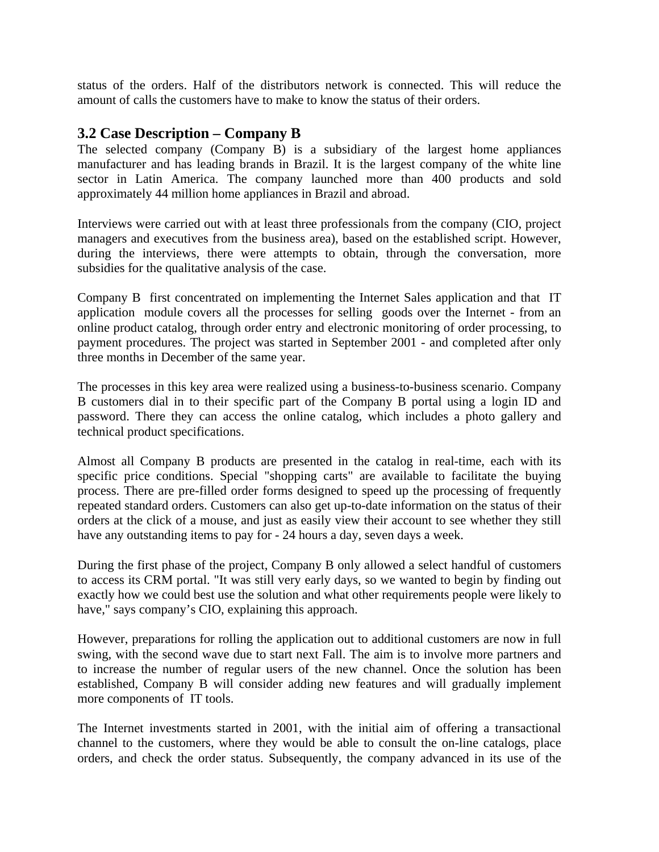status of the orders. Half of the distributors network is connected. This will reduce the amount of calls the customers have to make to know the status of their orders.

#### **3.2 Case Description – Company B**

The selected company (Company B) is a subsidiary of the largest home appliances manufacturer and has leading brands in Brazil. It is the largest company of the white line sector in Latin America. The company launched more than 400 products and sold approximately 44 million home appliances in Brazil and abroad.

Interviews were carried out with at least three professionals from the company (CIO, project managers and executives from the business area), based on the established script. However, during the interviews, there were attempts to obtain, through the conversation, more subsidies for the qualitative analysis of the case.

Company B first concentrated on implementing the Internet Sales application and that IT application module covers all the processes for selling goods over the Internet - from an online product catalog, through order entry and electronic monitoring of order processing, to payment procedures. The project was started in September 2001 - and completed after only three months in December of the same year.

The processes in this key area were realized using a business-to-business scenario. Company B customers dial in to their specific part of the Company B portal using a login ID and password. There they can access the online catalog, which includes a photo gallery and technical product specifications.

Almost all Company B products are presented in the catalog in real-time, each with its specific price conditions. Special "shopping carts" are available to facilitate the buying process. There are pre-filled order forms designed to speed up the processing of frequently repeated standard orders. Customers can also get up-to-date information on the status of their orders at the click of a mouse, and just as easily view their account to see whether they still have any outstanding items to pay for - 24 hours a day, seven days a week.

During the first phase of the project, Company B only allowed a select handful of customers to access its CRM portal. "It was still very early days, so we wanted to begin by finding out exactly how we could best use the solution and what other requirements people were likely to have," says company's CIO, explaining this approach.

However, preparations for rolling the application out to additional customers are now in full swing, with the second wave due to start next Fall. The aim is to involve more partners and to increase the number of regular users of the new channel. Once the solution has been established, Company B will consider adding new features and will gradually implement more components of IT tools.

The Internet investments started in 2001, with the initial aim of offering a transactional channel to the customers, where they would be able to consult the on-line catalogs, place orders, and check the order status. Subsequently, the company advanced in its use of the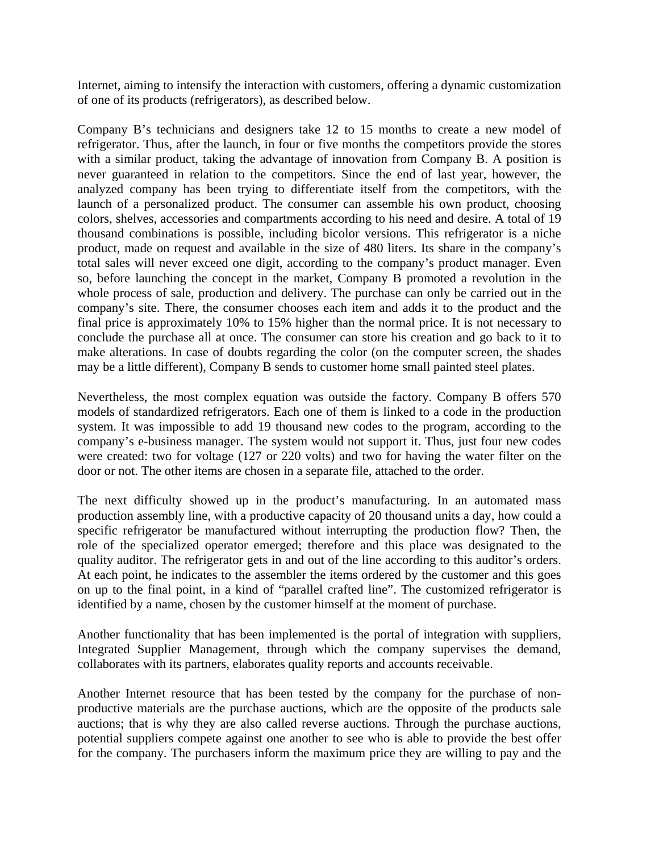Internet, aiming to intensify the interaction with customers, offering a dynamic customization of one of its products (refrigerators), as described below.

Company B's technicians and designers take 12 to 15 months to create a new model of refrigerator. Thus, after the launch, in four or five months the competitors provide the stores with a similar product, taking the advantage of innovation from Company B. A position is never guaranteed in relation to the competitors. Since the end of last year, however, the analyzed company has been trying to differentiate itself from the competitors, with the launch of a personalized product. The consumer can assemble his own product, choosing colors, shelves, accessories and compartments according to his need and desire. A total of 19 thousand combinations is possible, including bicolor versions. This refrigerator is a niche product, made on request and available in the size of 480 liters. Its share in the company's total sales will never exceed one digit, according to the company's product manager. Even so, before launching the concept in the market, Company B promoted a revolution in the whole process of sale, production and delivery. The purchase can only be carried out in the company's site. There, the consumer chooses each item and adds it to the product and the final price is approximately 10% to 15% higher than the normal price. It is not necessary to conclude the purchase all at once. The consumer can store his creation and go back to it to make alterations. In case of doubts regarding the color (on the computer screen, the shades may be a little different), Company B sends to customer home small painted steel plates.

Nevertheless, the most complex equation was outside the factory. Company B offers 570 models of standardized refrigerators. Each one of them is linked to a code in the production system. It was impossible to add 19 thousand new codes to the program, according to the company's e-business manager. The system would not support it. Thus, just four new codes were created: two for voltage (127 or 220 volts) and two for having the water filter on the door or not. The other items are chosen in a separate file, attached to the order.

The next difficulty showed up in the product's manufacturing. In an automated mass production assembly line, with a productive capacity of 20 thousand units a day, how could a specific refrigerator be manufactured without interrupting the production flow? Then, the role of the specialized operator emerged; therefore and this place was designated to the quality auditor. The refrigerator gets in and out of the line according to this auditor's orders. At each point, he indicates to the assembler the items ordered by the customer and this goes on up to the final point, in a kind of "parallel crafted line". The customized refrigerator is identified by a name, chosen by the customer himself at the moment of purchase.

Another functionality that has been implemented is the portal of integration with suppliers, Integrated Supplier Management, through which the company supervises the demand, collaborates with its partners, elaborates quality reports and accounts receivable.

Another Internet resource that has been tested by the company for the purchase of nonproductive materials are the purchase auctions, which are the opposite of the products sale auctions; that is why they are also called reverse auctions. Through the purchase auctions, potential suppliers compete against one another to see who is able to provide the best offer for the company. The purchasers inform the maximum price they are willing to pay and the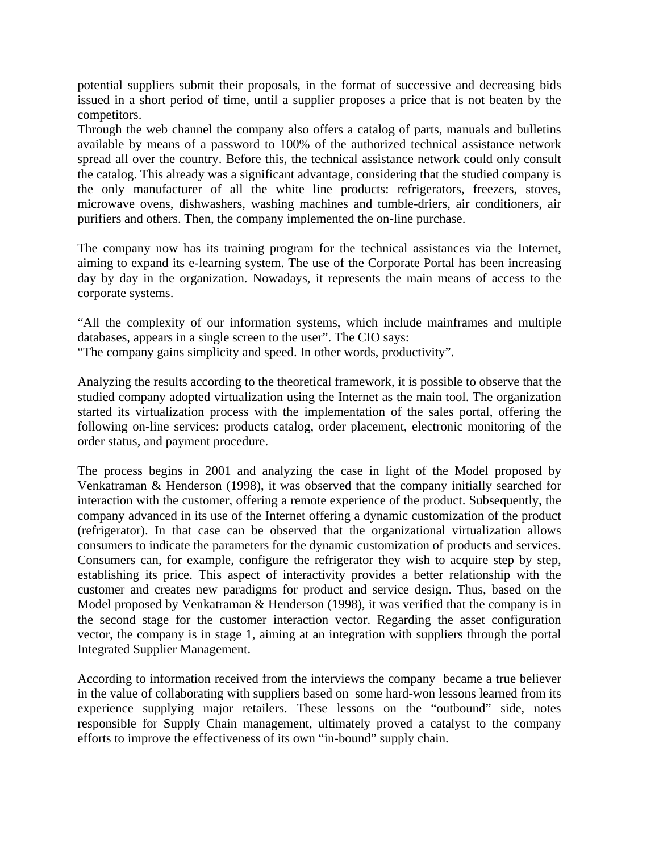potential suppliers submit their proposals, in the format of successive and decreasing bids issued in a short period of time, until a supplier proposes a price that is not beaten by the competitors.

Through the web channel the company also offers a catalog of parts, manuals and bulletins available by means of a password to 100% of the authorized technical assistance network spread all over the country. Before this, the technical assistance network could only consult the catalog. This already was a significant advantage, considering that the studied company is the only manufacturer of all the white line products: refrigerators, freezers, stoves, microwave ovens, dishwashers, washing machines and tumble-driers, air conditioners, air purifiers and others. Then, the company implemented the on-line purchase.

The company now has its training program for the technical assistances via the Internet, aiming to expand its e-learning system. The use of the Corporate Portal has been increasing day by day in the organization. Nowadays, it represents the main means of access to the corporate systems.

"All the complexity of our information systems, which include mainframes and multiple databases, appears in a single screen to the user". The CIO says:

"The company gains simplicity and speed. In other words, productivity".

Analyzing the results according to the theoretical framework, it is possible to observe that the studied company adopted virtualization using the Internet as the main tool. The organization started its virtualization process with the implementation of the sales portal, offering the following on-line services: products catalog, order placement, electronic monitoring of the order status, and payment procedure.

The process begins in 2001 and analyzing the case in light of the Model proposed by Venkatraman & Henderson (1998), it was observed that the company initially searched for interaction with the customer, offering a remote experience of the product. Subsequently, the company advanced in its use of the Internet offering a dynamic customization of the product (refrigerator). In that case can be observed that the organizational virtualization allows consumers to indicate the parameters for the dynamic customization of products and services. Consumers can, for example, configure the refrigerator they wish to acquire step by step, establishing its price. This aspect of interactivity provides a better relationship with the customer and creates new paradigms for product and service design. Thus, based on the Model proposed by Venkatraman & Henderson (1998), it was verified that the company is in the second stage for the customer interaction vector. Regarding the asset configuration vector, the company is in stage 1, aiming at an integration with suppliers through the portal Integrated Supplier Management.

According to information received from the interviews the company became a true believer in the value of collaborating with suppliers based on some hard-won lessons learned from its experience supplying major retailers. These lessons on the "outbound" side, notes responsible for Supply Chain management, ultimately proved a catalyst to the company efforts to improve the effectiveness of its own "in-bound" supply chain.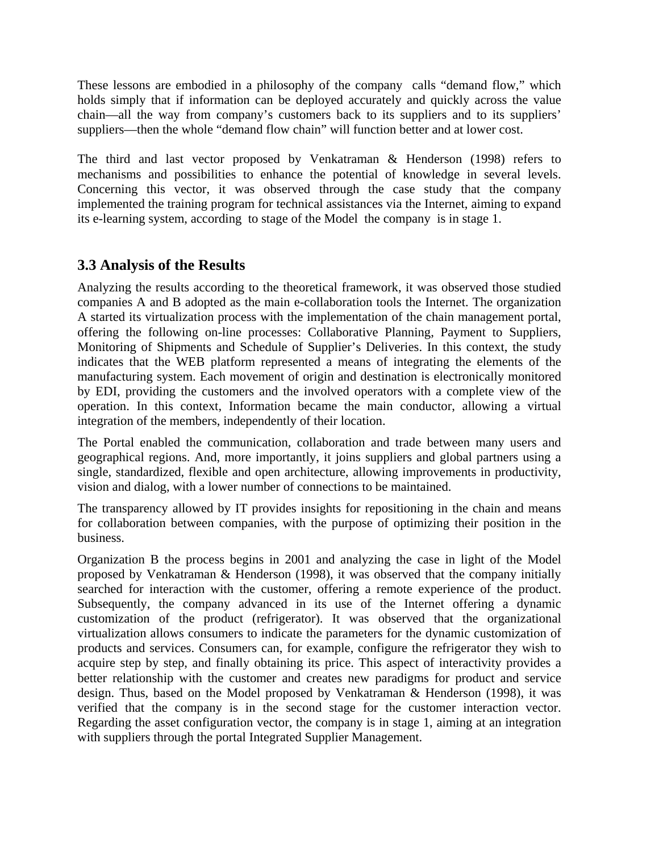These lessons are embodied in a philosophy of the company calls "demand flow," which holds simply that if information can be deployed accurately and quickly across the value chain—all the way from company's customers back to its suppliers and to its suppliers' suppliers—then the whole "demand flow chain" will function better and at lower cost.

The third and last vector proposed by Venkatraman & Henderson (1998) refers to mechanisms and possibilities to enhance the potential of knowledge in several levels. Concerning this vector, it was observed through the case study that the company implemented the training program for technical assistances via the Internet, aiming to expand its e-learning system, according to stage of the Model the company is in stage 1.

### **3.3 Analysis of the Results**

Analyzing the results according to the theoretical framework, it was observed those studied companies A and B adopted as the main e-collaboration tools the Internet. The organization A started its virtualization process with the implementation of the chain management portal, offering the following on-line processes: Collaborative Planning, Payment to Suppliers, Monitoring of Shipments and Schedule of Supplier's Deliveries. In this context, the study indicates that the WEB platform represented a means of integrating the elements of the manufacturing system. Each movement of origin and destination is electronically monitored by EDI, providing the customers and the involved operators with a complete view of the operation. In this context, Information became the main conductor, allowing a virtual integration of the members, independently of their location.

The Portal enabled the communication, collaboration and trade between many users and geographical regions. And, more importantly, it joins suppliers and global partners using a single, standardized, flexible and open architecture, allowing improvements in productivity, vision and dialog, with a lower number of connections to be maintained.

The transparency allowed by IT provides insights for repositioning in the chain and means for collaboration between companies, with the purpose of optimizing their position in the business.

Organization B the process begins in 2001 and analyzing the case in light of the Model proposed by Venkatraman & Henderson (1998), it was observed that the company initially searched for interaction with the customer, offering a remote experience of the product. Subsequently, the company advanced in its use of the Internet offering a dynamic customization of the product (refrigerator). It was observed that the organizational virtualization allows consumers to indicate the parameters for the dynamic customization of products and services. Consumers can, for example, configure the refrigerator they wish to acquire step by step, and finally obtaining its price. This aspect of interactivity provides a better relationship with the customer and creates new paradigms for product and service design. Thus, based on the Model proposed by Venkatraman & Henderson (1998), it was verified that the company is in the second stage for the customer interaction vector. Regarding the asset configuration vector, the company is in stage 1, aiming at an integration with suppliers through the portal Integrated Supplier Management.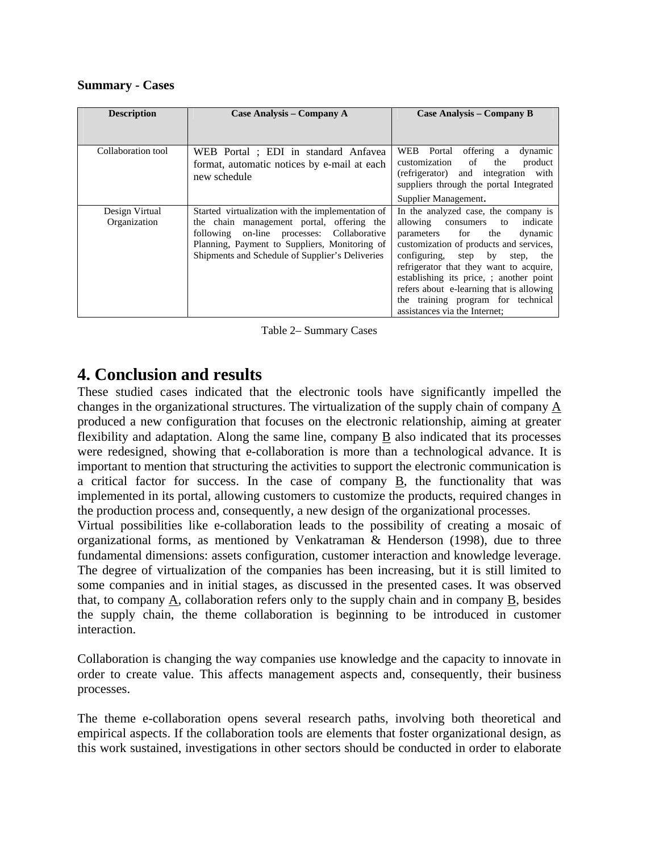#### **Summary - Cases**

| <b>Description</b>             | Case Analysis – Company A                                                                                                                                                                                                                           | Case Analysis – Company B                                                                                                                                                                                                                                                                                                                                                                                             |
|--------------------------------|-----------------------------------------------------------------------------------------------------------------------------------------------------------------------------------------------------------------------------------------------------|-----------------------------------------------------------------------------------------------------------------------------------------------------------------------------------------------------------------------------------------------------------------------------------------------------------------------------------------------------------------------------------------------------------------------|
|                                |                                                                                                                                                                                                                                                     |                                                                                                                                                                                                                                                                                                                                                                                                                       |
| Collaboration tool             | WEB Portal ; EDI in standard Anfavea<br>format, automatic notices by e-mail at each<br>new schedule                                                                                                                                                 | WEB Portal<br>offering a<br>dynamic<br>customization<br>of<br>the<br>product<br>(refrigerator) and integration with<br>suppliers through the portal Integrated                                                                                                                                                                                                                                                        |
|                                |                                                                                                                                                                                                                                                     | Supplier Management.                                                                                                                                                                                                                                                                                                                                                                                                  |
| Design Virtual<br>Organization | Started virtualization with the implementation of<br>the chain management portal, offering the<br>on-line processes: Collaborative<br>following<br>Planning, Payment to Suppliers, Monitoring of<br>Shipments and Schedule of Supplier's Deliveries | In the analyzed case, the company is<br>allowing<br>indicate<br>consumers<br>to<br>parameters for<br>the<br>dynamic<br>customization of products and services,<br>configuring,<br>step<br>by<br>the<br>step,<br>refrigerator that they want to acquire,<br>establishing its price, ; another point<br>refers about e-learning that is allowing<br>the training program for technical<br>assistances via the Internet: |

Table 2– Summary Cases

# **4. Conclusion and results**

These studied cases indicated that the electronic tools have significantly impelled the changes in the organizational structures. The virtualization of the supply chain of company A produced a new configuration that focuses on the electronic relationship, aiming at greater flexibility and adaptation. Along the same line, company B also indicated that its processes were redesigned, showing that e-collaboration is more than a technological advance. It is important to mention that structuring the activities to support the electronic communication is a critical factor for success. In the case of company B, the functionality that was implemented in its portal, allowing customers to customize the products, required changes in the production process and, consequently, a new design of the organizational processes.

Virtual possibilities like e-collaboration leads to the possibility of creating a mosaic of organizational forms, as mentioned by Venkatraman & Henderson (1998), due to three fundamental dimensions: assets configuration, customer interaction and knowledge leverage. The degree of virtualization of the companies has been increasing, but it is still limited to some companies and in initial stages, as discussed in the presented cases. It was observed that, to company A, collaboration refers only to the supply chain and in company B, besides the supply chain, the theme collaboration is beginning to be introduced in customer interaction.

Collaboration is changing the way companies use knowledge and the capacity to innovate in order to create value. This affects management aspects and, consequently, their business processes.

The theme e-collaboration opens several research paths, involving both theoretical and empirical aspects. If the collaboration tools are elements that foster organizational design, as this work sustained, investigations in other sectors should be conducted in order to elaborate